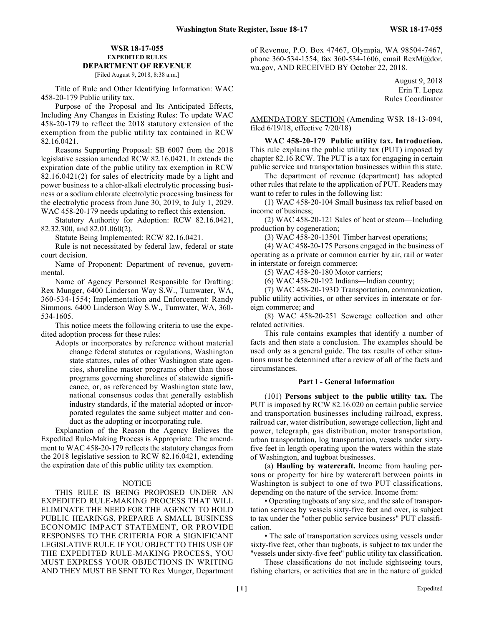# **WSR 18-17-055 EXPEDITED RULES DEPARTMENT OF REVENUE**

[Filed August 9, 2018, 8:38 a.m.]

Title of Rule and Other Identifying Information: WAC 458-20-179 Public utility tax.

Purpose of the Proposal and Its Anticipated Effects, Including Any Changes in Existing Rules: To update WAC 458-20-179 to reflect the 2018 statutory extension of the exemption from the public utility tax contained in RCW 82.16.0421.

Reasons Supporting Proposal: SB 6007 from the 2018 legislative session amended RCW 82.16.0421. It extends the expiration date of the public utility tax exemption in RCW 82.16.0421(2) for sales of electricity made by a light and power business to a chlor-alkali electrolytic processing business or a sodium chlorate electrolytic processing business for the electrolytic process from June 30, 2019, to July 1, 2029. WAC 458-20-179 needs updating to reflect this extension.

Statutory Authority for Adoption: RCW 82.16.0421, 82.32.300, and 82.01.060(2).

Statute Being Implemented: RCW 82.16.0421.

Rule is not necessitated by federal law, federal or state court decision.

Name of Proponent: Department of revenue, governmental.

Name of Agency Personnel Responsible for Drafting: Rex Munger, 6400 Linderson Way S.W., Tumwater, WA, 360-534-1554; Implementation and Enforcement: Randy Simmons, 6400 Linderson Way S.W., Tumwater, WA, 360- 534-1605.

This notice meets the following criteria to use the expedited adoption process for these rules:

Adopts or incorporates by reference without material change federal statutes or regulations, Washington state statutes, rules of other Washington state agencies, shoreline master programs other than those programs governing shorelines of statewide significance, or, as referenced by Washington state law, national consensus codes that generally establish industry standards, if the material adopted or incorporated regulates the same subject matter and conduct as the adopting or incorporating rule.

Explanation of the Reason the Agency Believes the Expedited Rule-Making Process is Appropriate: The amendment to WAC 458-20-179 reflects the statutory changes from the 2018 legislative session to RCW 82.16.0421, extending the expiration date of this public utility tax exemption.

# **NOTICE**

THIS RULE IS BEING PROPOSED UNDER AN EXPEDITED RULE-MAKING PROCESS THAT WILL ELIMINATE THE NEED FOR THE AGENCY TO HOLD PUBLIC HEARINGS, PREPARE A SMALL BUSINESS ECONOMIC IMPACT STATEMENT, OR PROVIDE RESPONSES TO THE CRITERIA FOR A SIGNIFICANT LEGISLATIVE RULE. IF YOU OBJECT TO THIS USE OF THE EXPEDITED RULE-MAKING PROCESS, YOU MUST EXPRESS YOUR OBJECTIONS IN WRITING AND THEY MUST BE SENT TO Rex Munger, Department of Revenue, P.O. Box 47467, Olympia, WA 98504-7467, phone 360-534-1554, fax 360-534-1606, email RexM@dor. wa.gov, AND RECEIVED BY October 22, 2018.

> August 9, 2018 Erin T. Lopez Rules Coordinator

AMENDATORY SECTION (Amending WSR 18-13-094, filed 6/19/18, effective 7/20/18)

**WAC 458-20-179 Public utility tax. Introduction.** This rule explains the public utility tax (PUT) imposed by chapter 82.16 RCW. The PUT is a tax for engaging in certain public service and transportation businesses within this state.

The department of revenue (department) has adopted other rules that relate to the application of PUT. Readers may want to refer to rules in the following list:

(1) WAC 458-20-104 Small business tax relief based on income of business;

(2) WAC 458-20-121 Sales of heat or steam—Including production by cogeneration;

(3) WAC 458-20-13501 Timber harvest operations;

(4) WAC 458-20-175 Persons engaged in the business of operating as a private or common carrier by air, rail or water in interstate or foreign commerce;

(5) WAC 458-20-180 Motor carriers;

(6) WAC 458-20-192 Indians—Indian country;

(7) WAC 458-20-193D Transportation, communication, public utility activities, or other services in interstate or foreign commerce; and

(8) WAC 458-20-251 Sewerage collection and other related activities.

This rule contains examples that identify a number of facts and then state a conclusion. The examples should be used only as a general guide. The tax results of other situations must be determined after a review of all of the facts and circumstances.

#### **Part I - General Information**

(101) **Persons subject to the public utility tax.** The PUT is imposed by RCW 82.16.020 on certain public service and transportation businesses including railroad, express, railroad car, water distribution, sewerage collection, light and power, telegraph, gas distribution, motor transportation, urban transportation, log transportation, vessels under sixtyfive feet in length operating upon the waters within the state of Washington, and tugboat businesses.

(a) **Hauling by watercraft.** Income from hauling persons or property for hire by watercraft between points in Washington is subject to one of two PUT classifications, depending on the nature of the service. Income from:

• Operating tugboats of any size, and the sale of transportation services by vessels sixty-five feet and over, is subject to tax under the "other public service business" PUT classification.

• The sale of transportation services using vessels under sixty-five feet, other than tugboats, is subject to tax under the "vessels under sixty-five feet" public utility tax classification.

These classifications do not include sightseeing tours, fishing charters, or activities that are in the nature of guided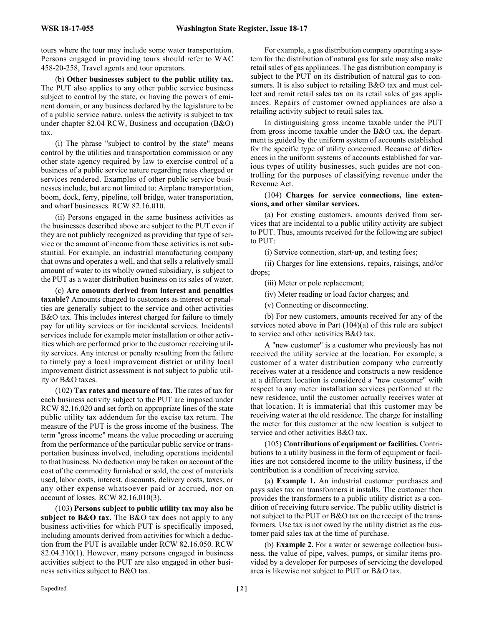tours where the tour may include some water transportation. Persons engaged in providing tours should refer to WAC 458-20-258, Travel agents and tour operators.

(b) **Other businesses subject to the public utility tax.** The PUT also applies to any other public service business subject to control by the state, or having the powers of eminent domain, or any business declared by the legislature to be of a public service nature, unless the activity is subject to tax under chapter 82.04 RCW, Business and occupation (B&O) tax.

(i) The phrase "subject to control by the state" means control by the utilities and transportation commission or any other state agency required by law to exercise control of a business of a public service nature regarding rates charged or services rendered. Examples of other public service businesses include, but are not limited to: Airplane transportation, boom, dock, ferry, pipeline, toll bridge, water transportation, and wharf businesses. RCW 82.16.010.

(ii) Persons engaged in the same business activities as the businesses described above are subject to the PUT even if they are not publicly recognized as providing that type of service or the amount of income from these activities is not substantial. For example, an industrial manufacturing company that owns and operates a well, and that sells a relatively small amount of water to its wholly owned subsidiary, is subject to the PUT as a water distribution business on its sales of water.

(c) **Are amounts derived from interest and penalties taxable?** Amounts charged to customers as interest or penalties are generally subject to the service and other activities B&O tax. This includes interest charged for failure to timely pay for utility services or for incidental services. Incidental services include for example meter installation or other activities which are performed prior to the customer receiving utility services. Any interest or penalty resulting from the failure to timely pay a local improvement district or utility local improvement district assessment is not subject to public utility or B&O taxes.

(102) **Tax rates and measure of tax.** The rates of tax for each business activity subject to the PUT are imposed under RCW 82.16.020 and set forth on appropriate lines of the state public utility tax addendum for the excise tax return. The measure of the PUT is the gross income of the business. The term "gross income" means the value proceeding or accruing from the performance of the particular public service or transportation business involved, including operations incidental to that business. No deduction may be taken on account of the cost of the commodity furnished or sold, the cost of materials used, labor costs, interest, discounts, delivery costs, taxes, or any other expense whatsoever paid or accrued, nor on account of losses. RCW 82.16.010(3).

(103) **Persons subject to public utility tax may also be subject to B&O tax.** The B&O tax does not apply to any business activities for which PUT is specifically imposed, including amounts derived from activities for which a deduction from the PUT is available under RCW 82.16.050. RCW 82.04.310(1). However, many persons engaged in business activities subject to the PUT are also engaged in other business activities subject to B&O tax.

For example, a gas distribution company operating a system for the distribution of natural gas for sale may also make retail sales of gas appliances. The gas distribution company is subject to the PUT on its distribution of natural gas to consumers. It is also subject to retailing B&O tax and must collect and remit retail sales tax on its retail sales of gas appliances. Repairs of customer owned appliances are also a retailing activity subject to retail sales tax.

In distinguishing gross income taxable under the PUT from gross income taxable under the B&O tax, the department is guided by the uniform system of accounts established for the specific type of utility concerned. Because of differences in the uniform systems of accounts established for various types of utility businesses, such guides are not controlling for the purposes of classifying revenue under the Revenue Act.

# (104) **Charges for service connections, line extensions, and other similar services.**

(a) For existing customers, amounts derived from services that are incidental to a public utility activity are subject to PUT. Thus, amounts received for the following are subject to PUT:

(i) Service connection, start-up, and testing fees;

(ii) Charges for line extensions, repairs, raisings, and/or drops;

(iii) Meter or pole replacement;

(iv) Meter reading or load factor charges; and

(v) Connecting or disconnecting.

(b) For new customers, amounts received for any of the services noted above in Part (104)(a) of this rule are subject to service and other activities B&O tax.

A "new customer" is a customer who previously has not received the utility service at the location. For example, a customer of a water distribution company who currently receives water at a residence and constructs a new residence at a different location is considered a "new customer" with respect to any meter installation services performed at the new residence, until the customer actually receives water at that location. It is immaterial that this customer may be receiving water at the old residence. The charge for installing the meter for this customer at the new location is subject to service and other activities B&O tax.

(105) **Contributions of equipment or facilities.** Contributions to a utility business in the form of equipment or facilities are not considered income to the utility business, if the contribution is a condition of receiving service.

(a) **Example 1.** An industrial customer purchases and pays sales tax on transformers it installs. The customer then provides the transformers to a public utility district as a condition of receiving future service. The public utility district is not subject to the PUT or B&O tax on the receipt of the transformers. Use tax is not owed by the utility district as the customer paid sales tax at the time of purchase.

(b) **Example 2.** For a water or sewerage collection business, the value of pipe, valves, pumps, or similar items provided by a developer for purposes of servicing the developed area is likewise not subject to PUT or B&O tax.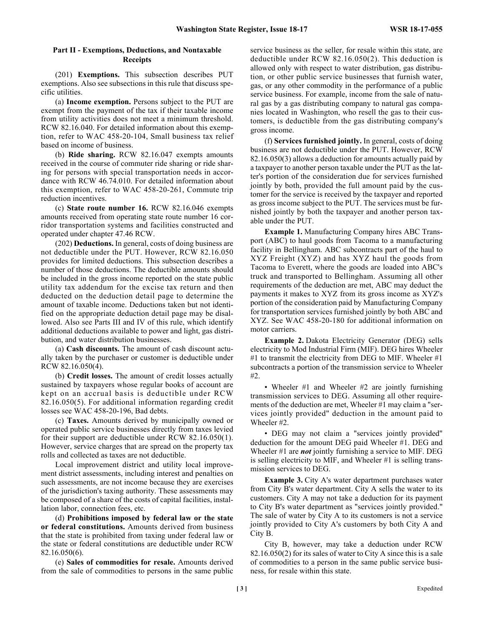### **Part II - Exemptions, Deductions, and Nontaxable Receipts**

(201) **Exemptions.** This subsection describes PUT exemptions. Also see subsections in this rule that discuss specific utilities.

(a) **Income exemption.** Persons subject to the PUT are exempt from the payment of the tax if their taxable income from utility activities does not meet a minimum threshold. RCW 82.16.040. For detailed information about this exemption, refer to WAC 458-20-104, Small business tax relief based on income of business.

(b) **Ride sharing.** RCW 82.16.047 exempts amounts received in the course of commuter ride sharing or ride sharing for persons with special transportation needs in accordance with RCW 46.74.010. For detailed information about this exemption, refer to WAC 458-20-261, Commute trip reduction incentives.

(c) **State route number 16.** RCW 82.16.046 exempts amounts received from operating state route number 16 corridor transportation systems and facilities constructed and operated under chapter 47.46 RCW.

(202) **Deductions.** In general, costs of doing business are not deductible under the PUT. However, RCW 82.16.050 provides for limited deductions. This subsection describes a number of those deductions. The deductible amounts should be included in the gross income reported on the state public utility tax addendum for the excise tax return and then deducted on the deduction detail page to determine the amount of taxable income. Deductions taken but not identified on the appropriate deduction detail page may be disallowed. Also see Parts III and IV of this rule, which identify additional deductions available to power and light, gas distribution, and water distribution businesses.

(a) **Cash discounts.** The amount of cash discount actually taken by the purchaser or customer is deductible under RCW 82.16.050(4).

(b) **Credit losses.** The amount of credit losses actually sustained by taxpayers whose regular books of account are kept on an accrual basis is deductible under RCW 82.16.050(5). For additional information regarding credit losses see WAC 458-20-196, Bad debts.

(c) **Taxes.** Amounts derived by municipally owned or operated public service businesses directly from taxes levied for their support are deductible under RCW 82.16.050(1). However, service charges that are spread on the property tax rolls and collected as taxes are not deductible.

Local improvement district and utility local improvement district assessments, including interest and penalties on such assessments, are not income because they are exercises of the jurisdiction's taxing authority. These assessments may be composed of a share of the costs of capital facilities, installation labor, connection fees, etc.

(d) **Prohibitions imposed by federal law or the state or federal constitutions.** Amounts derived from business that the state is prohibited from taxing under federal law or the state or federal constitutions are deductible under RCW 82.16.050(6).

(e) **Sales of commodities for resale.** Amounts derived from the sale of commodities to persons in the same public service business as the seller, for resale within this state, are deductible under RCW 82.16.050(2). This deduction is allowed only with respect to water distribution, gas distribution, or other public service businesses that furnish water, gas, or any other commodity in the performance of a public service business. For example, income from the sale of natural gas by a gas distributing company to natural gas companies located in Washington, who resell the gas to their customers, is deductible from the gas distributing company's gross income.

(f) **Services furnished jointly.** In general, costs of doing business are not deductible under the PUT. However, RCW 82.16.050(3) allows a deduction for amounts actually paid by a taxpayer to another person taxable under the PUT as the latter's portion of the consideration due for services furnished jointly by both, provided the full amount paid by the customer for the service is received by the taxpayer and reported as gross income subject to the PUT. The services must be furnished jointly by both the taxpayer and another person taxable under the PUT.

**Example 1.** Manufacturing Company hires ABC Transport (ABC) to haul goods from Tacoma to a manufacturing facility in Bellingham. ABC subcontracts part of the haul to XYZ Freight (XYZ) and has XYZ haul the goods from Tacoma to Everett, where the goods are loaded into ABC's truck and transported to Bellingham. Assuming all other requirements of the deduction are met, ABC may deduct the payments it makes to XYZ from its gross income as XYZ's portion of the consideration paid by Manufacturing Company for transportation services furnished jointly by both ABC and XYZ. See WAC 458-20-180 for additional information on motor carriers.

**Example 2.** Dakota Electricity Generator (DEG) sells electricity to Mod Industrial Firm (MIF). DEG hires Wheeler  $#1$  to transmit the electricity from DEG to MIF. Wheeler  $#1$ subcontracts a portion of the transmission service to Wheeler #2.

• Wheeler #1 and Wheeler #2 are jointly furnishing transmission services to DEG. Assuming all other requirements of the deduction are met, Wheeler #1 may claim a "services jointly provided" deduction in the amount paid to Wheeler #2.

• DEG may not claim a "services jointly provided" deduction for the amount DEG paid Wheeler #1. DEG and Wheeler #1 are *not* jointly furnishing a service to MIF. DEG is selling electricity to MIF, and Wheeler #1 is selling transmission services to DEG.

**Example 3.** City A's water department purchases water from City B's water department. City A sells the water to its customers. City A may not take a deduction for its payment to City B's water department as "services jointly provided." The sale of water by City A to its customers is not a service jointly provided to City A's customers by both City A and City B.

City B, however, may take a deduction under RCW 82.16.050(2) for its sales of water to City A since this is a sale of commodities to a person in the same public service business, for resale within this state.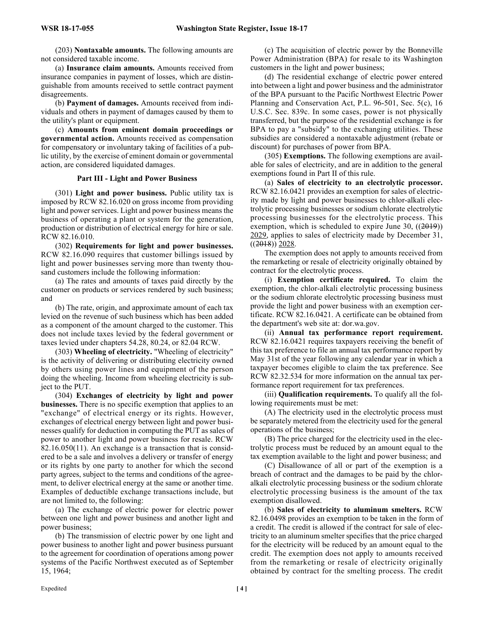(203) **Nontaxable amounts.** The following amounts are not considered taxable income.

(a) **Insurance claim amounts.** Amounts received from insurance companies in payment of losses, which are distinguishable from amounts received to settle contract payment disagreements.

(b) **Payment of damages.** Amounts received from individuals and others in payment of damages caused by them to the utility's plant or equipment.

(c) **Amounts from eminent domain proceedings or governmental action.** Amounts received as compensation for compensatory or involuntary taking of facilities of a public utility, by the exercise of eminent domain or governmental action, are considered liquidated damages.

# **Part III - Light and Power Business**

(301) **Light and power business.** Public utility tax is imposed by RCW 82.16.020 on gross income from providing light and power services. Light and power business means the business of operating a plant or system for the generation, production or distribution of electrical energy for hire or sale. RCW 82.16.010.

(302) **Requirements for light and power businesses.** RCW 82.16.090 requires that customer billings issued by light and power businesses serving more than twenty thousand customers include the following information:

(a) The rates and amounts of taxes paid directly by the customer on products or services rendered by such business; and

(b) The rate, origin, and approximate amount of each tax levied on the revenue of such business which has been added as a component of the amount charged to the customer. This does not include taxes levied by the federal government or taxes levied under chapters 54.28, 80.24, or 82.04 RCW.

(303) **Wheeling of electricity.** "Wheeling of electricity" is the activity of delivering or distributing electricity owned by others using power lines and equipment of the person doing the wheeling. Income from wheeling electricity is subject to the PUT.

(304) **Exchanges of electricity by light and power businesses.** There is no specific exemption that applies to an "exchange" of electrical energy or its rights. However, exchanges of electrical energy between light and power businesses qualify for deduction in computing the PUT as sales of power to another light and power business for resale. RCW 82.16.050(11). An exchange is a transaction that is considered to be a sale and involves a delivery or transfer of energy or its rights by one party to another for which the second party agrees, subject to the terms and conditions of the agreement, to deliver electrical energy at the same or another time. Examples of deductible exchange transactions include, but are not limited to, the following:

(a) The exchange of electric power for electric power between one light and power business and another light and power business;

(b) The transmission of electric power by one light and power business to another light and power business pursuant to the agreement for coordination of operations among power systems of the Pacific Northwest executed as of September 15, 1964;

(c) The acquisition of electric power by the Bonneville Power Administration (BPA) for resale to its Washington customers in the light and power business;

(d) The residential exchange of electric power entered into between a light and power business and the administrator of the BPA pursuant to the Pacific Northwest Electric Power Planning and Conservation Act, P.L. 96-501, Sec. 5(c), 16 U.S.C. Sec. 839c. In some cases, power is not physically transferred, but the purpose of the residential exchange is for BPA to pay a "subsidy" to the exchanging utilities. These subsidies are considered a nontaxable adjustment (rebate or discount) for purchases of power from BPA.

(305) **Exemptions.** The following exemptions are available for sales of electricity, and are in addition to the general exemptions found in Part II of this rule.

(a) **Sales of electricity to an electrolytic processor.** RCW 82.16.0421 provides an exemption for sales of electricity made by light and power businesses to chlor-alkali electrolytic processing businesses or sodium chlorate electrolytic processing businesses for the electrolytic process. This exemption, which is scheduled to expire June 30,  $((2019))$ 2029, applies to sales of electricity made by December 31,  $((2018))$  2028.

The exemption does not apply to amounts received from the remarketing or resale of electricity originally obtained by contract for the electrolytic process.

(i) **Exemption certificate required.** To claim the exemption, the chlor-alkali electrolytic processing business or the sodium chlorate electrolytic processing business must provide the light and power business with an exemption certificate. RCW 82.16.0421. A certificate can be obtained from the department's web site at: dor.wa.gov.

(ii) **Annual tax performance report requirement.** RCW 82.16.0421 requires taxpayers receiving the benefit of this tax preference to file an annual tax performance report by May 31st of the year following any calendar year in which a taxpayer becomes eligible to claim the tax preference. See RCW 82.32.534 for more information on the annual tax performance report requirement for tax preferences.

(iii) **Qualification requirements.** To qualify all the following requirements must be met:

(A) The electricity used in the electrolytic process must be separately metered from the electricity used for the general operations of the business;

(B) The price charged for the electricity used in the electrolytic process must be reduced by an amount equal to the tax exemption available to the light and power business; and

(C) Disallowance of all or part of the exemption is a breach of contract and the damages to be paid by the chloralkali electrolytic processing business or the sodium chlorate electrolytic processing business is the amount of the tax exemption disallowed.

(b) **Sales of electricity to aluminum smelters.** RCW 82.16.0498 provides an exemption to be taken in the form of a credit. The credit is allowed if the contract for sale of electricity to an aluminum smelter specifies that the price charged for the electricity will be reduced by an amount equal to the credit. The exemption does not apply to amounts received from the remarketing or resale of electricity originally obtained by contract for the smelting process. The credit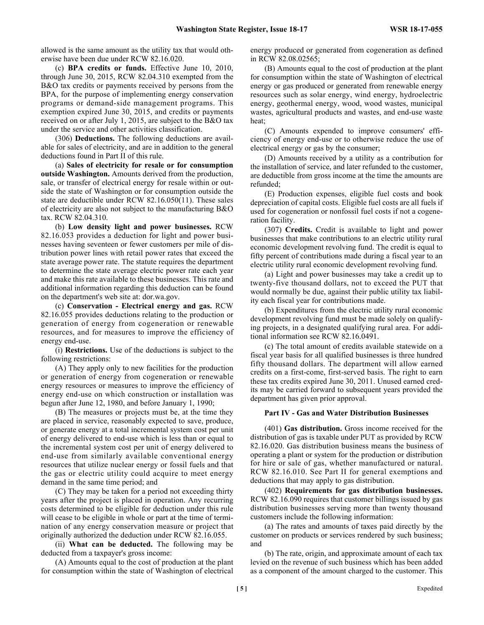allowed is the same amount as the utility tax that would otherwise have been due under RCW 82.16.020.

(c) **BPA credits or funds.** Effective June 10, 2010, through June 30, 2015, RCW 82.04.310 exempted from the B&O tax credits or payments received by persons from the BPA, for the purpose of implementing energy conservation programs or demand-side management programs. This exemption expired June 30, 2015, and credits or payments received on or after July 1, 2015, are subject to the B&O tax under the service and other activities classification.

(306) **Deductions.** The following deductions are available for sales of electricity, and are in addition to the general deductions found in Part II of this rule.

(a) **Sales of electricity for resale or for consumption outside Washington.** Amounts derived from the production, sale, or transfer of electrical energy for resale within or outside the state of Washington or for consumption outside the state are deductible under RCW 82.16.050(11). These sales of electricity are also not subject to the manufacturing B&O tax. RCW 82.04.310.

(b) **Low density light and power businesses.** RCW 82.16.053 provides a deduction for light and power businesses having seventeen or fewer customers per mile of distribution power lines with retail power rates that exceed the state average power rate. The statute requires the department to determine the state average electric power rate each year and make this rate available to these businesses. This rate and additional information regarding this deduction can be found on the department's web site at: dor.wa.gov.

(c) **Conservation - Electrical energy and gas.** RCW 82.16.055 provides deductions relating to the production or generation of energy from cogeneration or renewable resources, and for measures to improve the efficiency of energy end-use.

(i) **Restrictions.** Use of the deductions is subject to the following restrictions:

(A) They apply only to new facilities for the production or generation of energy from cogeneration or renewable energy resources or measures to improve the efficiency of energy end-use on which construction or installation was begun after June 12, 1980, and before January 1, 1990;

(B) The measures or projects must be, at the time they are placed in service, reasonably expected to save, produce, or generate energy at a total incremental system cost per unit of energy delivered to end-use which is less than or equal to the incremental system cost per unit of energy delivered to end-use from similarly available conventional energy resources that utilize nuclear energy or fossil fuels and that the gas or electric utility could acquire to meet energy demand in the same time period; and

(C) They may be taken for a period not exceeding thirty years after the project is placed in operation. Any recurring costs determined to be eligible for deduction under this rule will cease to be eligible in whole or part at the time of termination of any energy conservation measure or project that originally authorized the deduction under RCW 82.16.055.

(ii) **What can be deducted.** The following may be deducted from a taxpayer's gross income:

(A) Amounts equal to the cost of production at the plant for consumption within the state of Washington of electrical energy produced or generated from cogeneration as defined in RCW 82.08.02565;

(B) Amounts equal to the cost of production at the plant for consumption within the state of Washington of electrical energy or gas produced or generated from renewable energy resources such as solar energy, wind energy, hydroelectric energy, geothermal energy, wood, wood wastes, municipal wastes, agricultural products and wastes, and end-use waste heat;

(C) Amounts expended to improve consumers' efficiency of energy end-use or to otherwise reduce the use of electrical energy or gas by the consumer;

(D) Amounts received by a utility as a contribution for the installation of service, and later refunded to the customer, are deductible from gross income at the time the amounts are refunded;

(E) Production expenses, eligible fuel costs and book depreciation of capital costs. Eligible fuel costs are all fuels if used for cogeneration or nonfossil fuel costs if not a cogeneration facility.

(307) **Credits.** Credit is available to light and power businesses that make contributions to an electric utility rural economic development revolving fund. The credit is equal to fifty percent of contributions made during a fiscal year to an electric utility rural economic development revolving fund.

(a) Light and power businesses may take a credit up to twenty-five thousand dollars, not to exceed the PUT that would normally be due, against their public utility tax liability each fiscal year for contributions made.

(b) Expenditures from the electric utility rural economic development revolving fund must be made solely on qualifying projects, in a designated qualifying rural area. For additional information see RCW 82.16.0491.

(c) The total amount of credits available statewide on a fiscal year basis for all qualified businesses is three hundred fifty thousand dollars. The department will allow earned credits on a first-come, first-served basis. The right to earn these tax credits expired June 30, 2011. Unused earned credits may be carried forward to subsequent years provided the department has given prior approval.

#### **Part IV - Gas and Water Distribution Businesses**

(401) **Gas distribution.** Gross income received for the distribution of gas is taxable under PUT as provided by RCW 82.16.020. Gas distribution business means the business of operating a plant or system for the production or distribution for hire or sale of gas, whether manufactured or natural. RCW 82.16.010. See Part II for general exemptions and deductions that may apply to gas distribution.

(402) **Requirements for gas distribution businesses.** RCW 82.16.090 requires that customer billings issued by gas distribution businesses serving more than twenty thousand customers include the following information:

(a) The rates and amounts of taxes paid directly by the customer on products or services rendered by such business; and

(b) The rate, origin, and approximate amount of each tax levied on the revenue of such business which has been added as a component of the amount charged to the customer. This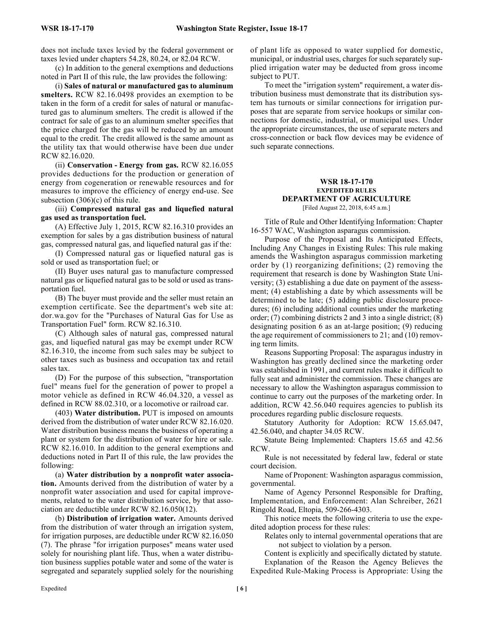does not include taxes levied by the federal government or taxes levied under chapters 54.28, 80.24, or 82.04 RCW.

(c) In addition to the general exemptions and deductions noted in Part II of this rule, the law provides the following:

(i) **Sales of natural or manufactured gas to aluminum smelters.** RCW 82.16.0498 provides an exemption to be taken in the form of a credit for sales of natural or manufactured gas to aluminum smelters. The credit is allowed if the contract for sale of gas to an aluminum smelter specifies that the price charged for the gas will be reduced by an amount equal to the credit. The credit allowed is the same amount as the utility tax that would otherwise have been due under RCW 82.16.020.

(ii) **Conservation - Energy from gas.** RCW 82.16.055 provides deductions for the production or generation of energy from cogeneration or renewable resources and for measures to improve the efficiency of energy end-use. See subsection (306)(c) of this rule.

(iii) **Compressed natural gas and liquefied natural gas used as transportation fuel.**

(A) Effective July 1, 2015, RCW 82.16.310 provides an exemption for sales by a gas distribution business of natural gas, compressed natural gas, and liquefied natural gas if the:

(I) Compressed natural gas or liquefied natural gas is sold or used as transportation fuel; or

(II) Buyer uses natural gas to manufacture compressed natural gas or liquefied natural gas to be sold or used as transportation fuel.

(B) The buyer must provide and the seller must retain an exemption certificate. See the department's web site at: dor.wa.gov for the "Purchases of Natural Gas for Use as Transportation Fuel" form. RCW 82.16.310.

(C) Although sales of natural gas, compressed natural gas, and liquefied natural gas may be exempt under RCW 82.16.310, the income from such sales may be subject to other taxes such as business and occupation tax and retail sales tax.

(D) For the purpose of this subsection, "transportation fuel" means fuel for the generation of power to propel a motor vehicle as defined in RCW 46.04.320, a vessel as defined in RCW 88.02.310, or a locomotive or railroad car.

(403) **Water distribution.** PUT is imposed on amounts derived from the distribution of water under RCW 82.16.020. Water distribution business means the business of operating a plant or system for the distribution of water for hire or sale. RCW 82.16.010. In addition to the general exemptions and deductions noted in Part II of this rule, the law provides the following:

(a) **Water distribution by a nonprofit water association.** Amounts derived from the distribution of water by a nonprofit water association and used for capital improvements, related to the water distribution service, by that association are deductible under RCW 82.16.050(12).

(b) **Distribution of irrigation water.** Amounts derived from the distribution of water through an irrigation system, for irrigation purposes, are deductible under RCW 82.16.050 (7). The phrase "for irrigation purposes" means water used solely for nourishing plant life. Thus, when a water distribution business supplies potable water and some of the water is segregated and separately supplied solely for the nourishing

of plant life as opposed to water supplied for domestic, municipal, or industrial uses, charges for such separately supplied irrigation water may be deducted from gross income subject to PUT.

To meet the "irrigation system" requirement, a water distribution business must demonstrate that its distribution system has turnouts or similar connections for irrigation purposes that are separate from service hookups or similar connections for domestic, industrial, or municipal uses. Under the appropriate circumstances, the use of separate meters and cross-connection or back flow devices may be evidence of such separate connections.

### **WSR 18-17-170 EXPEDITED RULES DEPARTMENT OF AGRICULTURE** [Filed August 22, 2018, 6:45 a.m.]

Title of Rule and Other Identifying Information: Chapter 16-557 WAC, Washington asparagus commission.

Purpose of the Proposal and Its Anticipated Effects, Including Any Changes in Existing Rules: This rule making amends the Washington asparagus commission marketing order by (1) reorganizing definitions; (2) removing the requirement that research is done by Washington State University; (3) establishing a due date on payment of the assessment; (4) establishing a date by which assessments will be determined to be late; (5) adding public disclosure procedures; (6) including additional counties under the marketing order; (7) combining districts 2 and 3 into a single district; (8) designating position 6 as an at-large position; (9) reducing the age requirement of commissioners to 21; and (10) removing term limits.

Reasons Supporting Proposal: The asparagus industry in Washington has greatly declined since the marketing order was established in 1991, and current rules make it difficult to fully seat and administer the commission. These changes are necessary to allow the Washington asparagus commission to continue to carry out the purposes of the marketing order. In addition, RCW 42.56.040 requires agencies to publish its procedures regarding public disclosure requests.

Statutory Authority for Adoption: RCW 15.65.047, 42.56.040, and chapter 34.05 RCW.

Statute Being Implemented: Chapters 15.65 and 42.56 RCW.

Rule is not necessitated by federal law, federal or state court decision.

Name of Proponent: Washington asparagus commission, governmental.

Name of Agency Personnel Responsible for Drafting, Implementation, and Enforcement: Alan Schreiber, 2621 Ringold Road, Eltopia, 509-266-4303.

This notice meets the following criteria to use the expedited adoption process for these rules:

Relates only to internal governmental operations that are not subject to violation by a person.

Content is explicitly and specifically dictated by statute.

Explanation of the Reason the Agency Believes the Expedited Rule-Making Process is Appropriate: Using the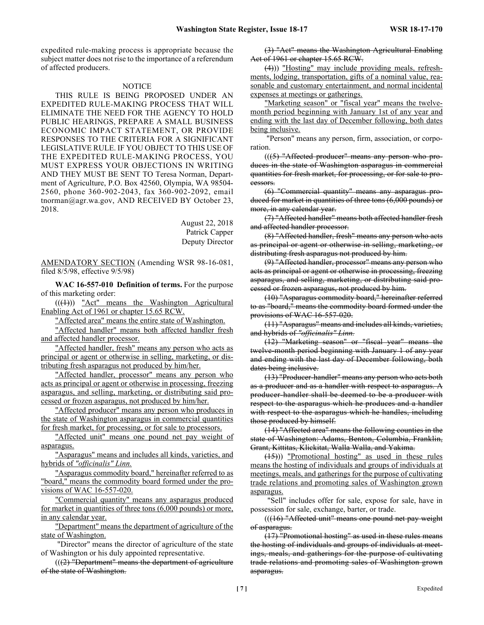expedited rule-making process is appropriate because the subject matter does not rise to the importance of a referendum of affected producers.

#### **NOTICE**

THIS RULE IS BEING PROPOSED UNDER AN EXPEDITED RULE-MAKING PROCESS THAT WILL ELIMINATE THE NEED FOR THE AGENCY TO HOLD PUBLIC HEARINGS, PREPARE A SMALL BUSINESS ECONOMIC IMPACT STATEMENT, OR PROVIDE RESPONSES TO THE CRITERIA FOR A SIGNIFICANT LEGISLATIVE RULE. IF YOU OBJECT TO THIS USE OF THE EXPEDITED RULE-MAKING PROCESS, YOU MUST EXPRESS YOUR OBJECTIONS IN WRITING AND THEY MUST BE SENT TO Teresa Norman, Department of Agriculture, P.O. Box 42560, Olympia, WA 98504- 2560, phone 360-902-2043, fax 360-902-2092, email tnorman@agr.wa.gov, AND RECEIVED BY October 23, 2018.

> August 22, 2018 Patrick Capper Deputy Director

AMENDATORY SECTION (Amending WSR 98-16-081, filed 8/5/98, effective 9/5/98)

**WAC 16-557-010 Definition of terms.** For the purpose of this marketing order:

 $(( (4)))$  "Act" means the Washington Agricultural Enabling Act of 1961 or chapter 15.65 RCW.

"Affected area" means the entire state of Washington.

"Affected handler" means both affected handler fresh and affected handler processor.

"Affected handler, fresh" means any person who acts as principal or agent or otherwise in selling, marketing, or distributing fresh asparagus not produced by him/her.

"Affected handler, processor" means any person who acts as principal or agent or otherwise in processing, freezing asparagus, and selling, marketing, or distributing said processed or frozen asparagus, not produced by him/her.

"Affected producer" means any person who produces in the state of Washington asparagus in commercial quantities for fresh market, for processing, or for sale to processors.

"Affected unit" means one pound net pay weight of asparagus.

"Asparagus" means and includes all kinds, varieties, and hybrids of *"officinalis" Linn.*

"Asparagus commodity board," hereinafter referred to as "board," means the commodity board formed under the provisions of WAC 16-557-020.

"Commercial quantity" means any asparagus produced for market in quantities of three tons (6,000 pounds) or more, in any calendar year.

"Department" means the department of agriculture of the state of Washington.

 "Director" means the director of agriculture of the state of Washington or his duly appointed representative.

 $((2)$  "Department" means the department of agriculture of the state of Washington.

(3) "Act" means the Washington Agricultural Enabling Act of 1961 or chapter 15.65 RCW.

(4))) "Hosting" may include providing meals, refreshments, lodging, transportation, gifts of a nominal value, reasonable and customary entertainment, and normal incidental expenses at meetings or gatherings.

"Marketing season" or "fiscal year" means the twelvemonth period beginning with January 1st of any year and ending with the last day of December following, both dates being inclusive.

 "Person" means any person, firm, association, or corporation.

 $((5)$  "Affected producer" means any person who produces in the state of Washington asparagus in commercial quantities for fresh market, for processing, or for sale to processors.

(6) "Commercial quantity" means any asparagus produced for market in quantities of three tons (6,000 pounds) or more, in any calendar year.

(7) "Affected handler" means both affected handler fresh and affected handler processor.

(8) "Affected handler, fresh" means any person who acts as principal or agent or otherwise in selling, marketing, or distributing fresh asparagus not produced by him.

(9) "Affected handler, processor" means any person who acts as principal or agent or otherwise in processing, freezing asparagus, and selling, marketing, or distributing said processed or frozen asparagus, not produced by him.

(10) "Asparagus commodity board," hereinafter referred to as "board," means the commodity board formed under the provisions of WAC 16-557-020.

(11) "Asparagus" means and includes all kinds, varieties, and hybrids of *"officinalis" Linn.*

(12) "Marketing season" or "fiscal year" means the twelve-month period beginning with January 1 of any year and ending with the last day of December following, both dates being inclusive.

(13) "Producer-handler" means any person who acts both as a producer and as a handler with respect to asparagus. A producer-handler shall be deemed to be a producer with respect to the asparagus which he produces and a handler with respect to the asparagus which he handles, including those produced by himself.

(14) "Affected area" means the following counties in the state of Washington: Adams, Benton, Columbia, Franklin, Grant, Kittitas, Klickitat, Walla Walla, and Yakima.

(15))) "Promotional hosting" as used in these rules means the hosting of individuals and groups of individuals at meetings, meals, and gatherings for the purpose of cultivating trade relations and promoting sales of Washington grown asparagus.

 "Sell" includes offer for sale, expose for sale, have in possession for sale, exchange, barter, or trade.

 $((16)$  "Affected unit" means one pound net pay weight of asparagus.

(17) "Promotional hosting" as used in these rules means the hosting of individuals and groups of individuals at meetings, meals, and gatherings for the purpose of cultivating trade relations and promoting sales of Washington grown asparagus.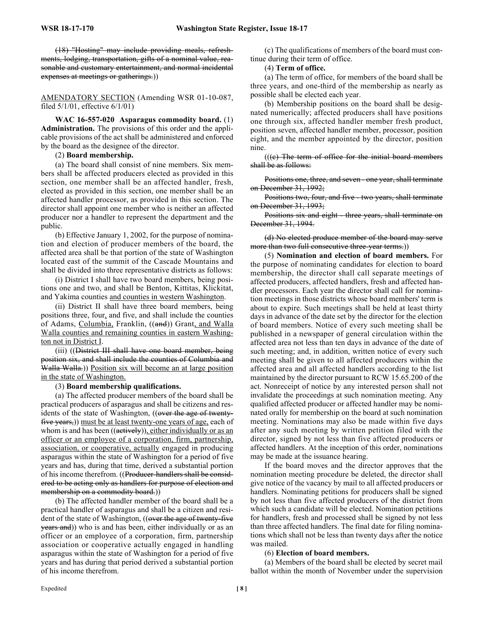(18) "Hosting" may include providing meals, refreshments, lodging, transportation, gifts of a nominal value, reasonable and customary entertainment, and normal incidental expenses at meetings or gatherings.)

AMENDATORY SECTION (Amending WSR 01-10-087, filed 5/1/01, effective 6/1/01)

**WAC 16-557-020 Asparagus commodity board.** (1) **Administration.** The provisions of this order and the applicable provisions of the act shall be administered and enforced by the board as the designee of the director.

### (2) **Board membership.**

(a) The board shall consist of nine members. Six members shall be affected producers elected as provided in this section, one member shall be an affected handler, fresh, elected as provided in this section, one member shall be an affected handler processor, as provided in this section. The director shall appoint one member who is neither an affected producer nor a handler to represent the department and the public.

(b) Effective January 1, 2002, for the purpose of nomination and election of producer members of the board, the affected area shall be that portion of the state of Washington located east of the summit of the Cascade Mountains and shall be divided into three representative districts as follows:

(i) District I shall have two board members, being positions one and two, and shall be Benton, Kittitas, Klickitat, and Yakima counties and counties in western Washington.

(ii) District II shall have three board members, being positions three, four, and five, and shall include the counties of Adams, Columbia, Franklin, ((and)) Grant, and Walla Walla counties and remaining counties in eastern Washington not in District I.

(iii) ((District III shall have one board member, being position six, and shall include the counties of Columbia and Walla Walla.)) Position six will become an at large position in the state of Washington.

# (3) **Board membership qualifications.**

(a) The affected producer members of the board shall be practical producers of asparagus and shall be citizens and residents of the state of Washington, ((over the age of twentyfive years,)) must be at least twenty-one years of age, each of whom is and has been  $((\text{actively}))$ , either individually or as an officer or an employee of a corporation, firm, partnership, association, or cooperative, actually engaged in producing asparagus within the state of Washington for a period of five years and has, during that time, derived a substantial portion of his income therefrom. ((Producer-handlers shall be considered to be acting only as handlers for purpose of election and membership on a commodity board.))

(b) The affected handler member of the board shall be a practical handler of asparagus and shall be a citizen and resident of the state of Washington, ((over the age of twenty-five years and)) who is and has been, either individually or as an officer or an employee of a corporation, firm, partnership association or cooperative actually engaged in handling asparagus within the state of Washington for a period of five years and has during that period derived a substantial portion of his income therefrom.

(c) The qualifications of members of the board must continue during their term of office.

#### (4) **Term of office.**

(a) The term of office, for members of the board shall be three years, and one-third of the membership as nearly as possible shall be elected each year.

(b) Membership positions on the board shall be designated numerically; affected producers shall have positions one through six, affected handler member fresh product, position seven, affected handler member, processor, position eight, and the member appointed by the director, position nine.

 $((e)$  The term of office for the initial board members shall be as follows:

Positions one, three, and seven - one year, shall terminate on December 31, 1992;

Positions two, four, and five - two years, shall terminate on December 31, 1993;

Positions six and eight - three years, shall terminate on December 31, 1994.

(d) No elected produce member of the board may serve more than two full consecutive three-year terms.))

(5) **Nomination and election of board members.** For the purpose of nominating candidates for election to board membership, the director shall call separate meetings of affected producers, affected handlers, fresh and affected handler processors. Each year the director shall call for nomination meetings in those districts whose board members' term is about to expire. Such meetings shall be held at least thirty days in advance of the date set by the director for the election of board members. Notice of every such meeting shall be published in a newspaper of general circulation within the affected area not less than ten days in advance of the date of such meeting; and, in addition, written notice of every such meeting shall be given to all affected producers within the affected area and all affected handlers according to the list maintained by the director pursuant to RCW 15.65.200 of the act. Nonreceipt of notice by any interested person shall not invalidate the proceedings at such nomination meeting. Any qualified affected producer or affected handler may be nominated orally for membership on the board at such nomination meeting. Nominations may also be made within five days after any such meeting by written petition filed with the director, signed by not less than five affected producers or affected handlers. At the inception of this order, nominations may be made at the issuance hearing.

If the board moves and the director approves that the nomination meeting procedure be deleted, the director shall give notice of the vacancy by mail to all affected producers or handlers. Nominating petitions for producers shall be signed by not less than five affected producers of the district from which such a candidate will be elected. Nomination petitions for handlers, fresh and processed shall be signed by not less than three affected handlers. The final date for filing nominations which shall not be less than twenty days after the notice was mailed.

# (6) **Election of board members.**

(a) Members of the board shall be elected by secret mail ballot within the month of November under the supervision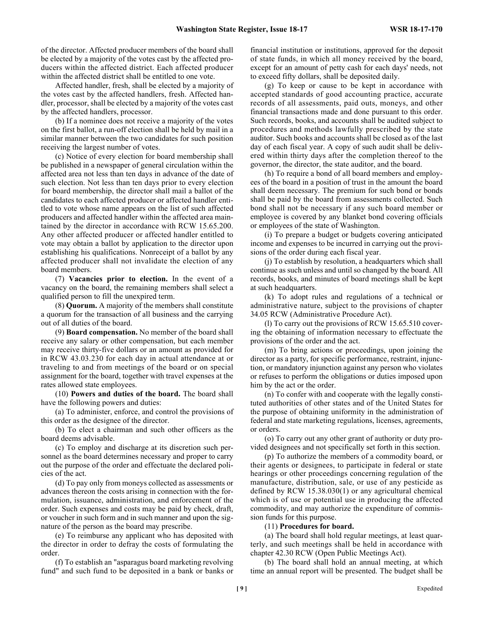of the director. Affected producer members of the board shall be elected by a majority of the votes cast by the affected producers within the affected district. Each affected producer within the affected district shall be entitled to one vote.

Affected handler, fresh, shall be elected by a majority of the votes cast by the affected handlers, fresh. Affected handler, processor, shall be elected by a majority of the votes cast by the affected handlers, processor.

(b) If a nominee does not receive a majority of the votes on the first ballot, a run-off election shall be held by mail in a similar manner between the two candidates for such position receiving the largest number of votes.

(c) Notice of every election for board membership shall be published in a newspaper of general circulation within the affected area not less than ten days in advance of the date of such election. Not less than ten days prior to every election for board membership, the director shall mail a ballot of the candidates to each affected producer or affected handler entitled to vote whose name appears on the list of such affected producers and affected handler within the affected area maintained by the director in accordance with RCW 15.65.200. Any other affected producer or affected handler entitled to vote may obtain a ballot by application to the director upon establishing his qualifications. Nonreceipt of a ballot by any affected producer shall not invalidate the election of any board members.

(7) **Vacancies prior to election.** In the event of a vacancy on the board, the remaining members shall select a qualified person to fill the unexpired term.

(8) **Quorum.** A majority of the members shall constitute a quorum for the transaction of all business and the carrying out of all duties of the board.

(9) **Board compensation.** No member of the board shall receive any salary or other compensation, but each member may receive thirty-five dollars or an amount as provided for in RCW 43.03.230 for each day in actual attendance at or traveling to and from meetings of the board or on special assignment for the board, together with travel expenses at the rates allowed state employees.

(10) **Powers and duties of the board.** The board shall have the following powers and duties:

(a) To administer, enforce, and control the provisions of this order as the designee of the director.

(b) To elect a chairman and such other officers as the board deems advisable.

(c) To employ and discharge at its discretion such personnel as the board determines necessary and proper to carry out the purpose of the order and effectuate the declared policies of the act.

(d) To pay only from moneys collected as assessments or advances thereon the costs arising in connection with the formulation, issuance, administration, and enforcement of the order. Such expenses and costs may be paid by check, draft, or voucher in such form and in such manner and upon the signature of the person as the board may prescribe.

(e) To reimburse any applicant who has deposited with the director in order to defray the costs of formulating the order.

(f) To establish an "asparagus board marketing revolving fund" and such fund to be deposited in a bank or banks or financial institution or institutions, approved for the deposit of state funds, in which all money received by the board, except for an amount of petty cash for each days' needs, not to exceed fifty dollars, shall be deposited daily.

(g) To keep or cause to be kept in accordance with accepted standards of good accounting practice, accurate records of all assessments, paid outs, moneys, and other financial transactions made and done pursuant to this order. Such records, books, and accounts shall be audited subject to procedures and methods lawfully prescribed by the state auditor. Such books and accounts shall be closed as of the last day of each fiscal year. A copy of such audit shall be delivered within thirty days after the completion thereof to the governor, the director, the state auditor, and the board.

(h) To require a bond of all board members and employees of the board in a position of trust in the amount the board shall deem necessary. The premium for such bond or bonds shall be paid by the board from assessments collected. Such bond shall not be necessary if any such board member or employee is covered by any blanket bond covering officials or employees of the state of Washington.

(i) To prepare a budget or budgets covering anticipated income and expenses to be incurred in carrying out the provisions of the order during each fiscal year.

(j) To establish by resolution, a headquarters which shall continue as such unless and until so changed by the board. All records, books, and minutes of board meetings shall be kept at such headquarters.

(k) To adopt rules and regulations of a technical or administrative nature, subject to the provisions of chapter 34.05 RCW (Administrative Procedure Act).

(l) To carry out the provisions of RCW 15.65.510 covering the obtaining of information necessary to effectuate the provisions of the order and the act.

(m) To bring actions or proceedings, upon joining the director as a party, for specific performance, restraint, injunction, or mandatory injunction against any person who violates or refuses to perform the obligations or duties imposed upon him by the act or the order.

(n) To confer with and cooperate with the legally constituted authorities of other states and of the United States for the purpose of obtaining uniformity in the administration of federal and state marketing regulations, licenses, agreements, or orders.

(o) To carry out any other grant of authority or duty provided designees and not specifically set forth in this section.

(p) To authorize the members of a commodity board, or their agents or designees, to participate in federal or state hearings or other proceedings concerning regulation of the manufacture, distribution, sale, or use of any pesticide as defined by RCW 15.38.030(1) or any agricultural chemical which is of use or potential use in producing the affected commodity, and may authorize the expenditure of commission funds for this purpose.

(11) **Procedures for board.**

(a) The board shall hold regular meetings, at least quarterly, and such meetings shall be held in accordance with chapter 42.30 RCW (Open Public Meetings Act).

(b) The board shall hold an annual meeting, at which time an annual report will be presented. The budget shall be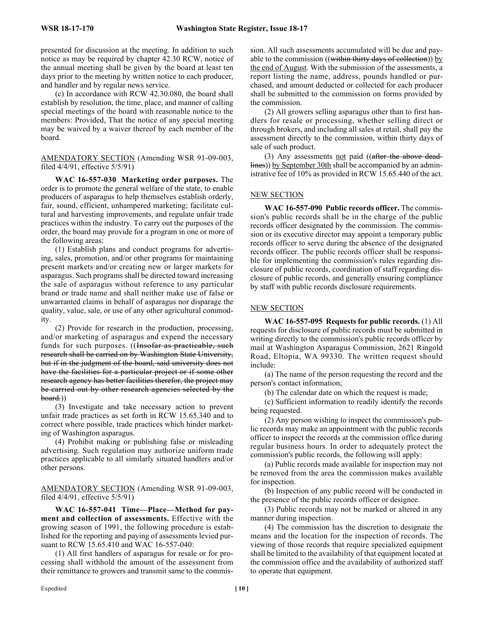presented for discussion at the meeting. In addition to such notice as may be required by chapter 42.30 RCW, notice of the annual meeting shall be given by the board at least ten days prior to the meeting by written notice to each producer, and handler and by regular news service.

(c) In accordance with RCW 42.30.080, the board shall establish by resolution, the time, place, and manner of calling special meetings of the board with reasonable notice to the members: Provided, That the notice of any special meeting may be waived by a waiver thereof by each member of the board.

# AMENDATORY SECTION (Amending WSR 91-09-003, filed 4/4/91, effective 5/5/91)

**WAC 16-557-030 Marketing order purposes.** The order is to promote the general welfare of the state, to enable producers of asparagus to help themselves establish orderly, fair, sound, efficient, unhampered marketing; facilitate cultural and harvesting improvements, and regulate unfair trade practices within the industry. To carry out the purposes of the order, the board may provide for a program in one or more of the following areas:

(1) Establish plans and conduct programs for advertising, sales, promotion, and/or other programs for maintaining present markets and/or creating new or larger markets for asparagus. Such programs shall be directed toward increasing the sale of asparagus without reference to any particular brand or trade name and shall neither make use of false or unwarranted claims in behalf of asparagus nor disparage the quality, value, sale, or use of any other agricultural commodity.

(2) Provide for research in the production, processing, and/or marketing of asparagus and expend the necessary funds for such purposes. ((Insofar as practicable, such research shall be carried on by Washington State University, but if in the judgment of the board, said university does not have the facilities for a particular project or if some other research agency has better facilities therefor, the project may be carried out by other research agencies selected by the board.))

(3) Investigate and take necessary action to prevent unfair trade practices as set forth in RCW 15.65.340 and to correct where possible, trade practices which hinder marketing of Washington asparagus.

(4) Prohibit making or publishing false or misleading advertising. Such regulation may authorize uniform trade practices applicable to all similarly situated handlers and/or other persons.

AMENDATORY SECTION (Amending WSR 91-09-003, filed 4/4/91, effective 5/5/91)

**WAC 16-557-041 Time—Place—Method for payment and collection of assessments.** Effective with the growing season of 1991, the following procedure is established for the reporting and paying of assessments levied pursuant to RCW 15.65.410 and WAC 16-557-040:

(1) All first handlers of asparagus for resale or for processing shall withhold the amount of the assessment from their remittance to growers and transmit same to the commission. All such assessments accumulated will be due and payable to the commission ((within thirty days of collection)) by the end of August. With the submission of the assessments, a report listing the name, address, pounds handled or purchased, and amount deducted or collected for each producer shall be submitted to the commission on forms provided by the commission.

(2) All growers selling asparagus other than to first handlers for resale or processing, whether selling direct or through brokers, and including all sales at retail, shall pay the assessment directly to the commission, within thirty days of sale of such product.

(3) Any assessments not paid ((after the above deadlines)) by September 30th shall be accompanied by an administrative fee of 10% as provided in RCW 15.65.440 of the act.

# NEW SECTION

**WAC 16-557-090 Public records officer.** The commission's public records shall be in the charge of the public records officer designated by the commission. The commission or its executive director may appoint a temporary public records officer to serve during the absence of the designated records officer. The public records officer shall be responsible for implementing the commission's rules regarding disclosure of public records, coordination of staff regarding disclosure of public records, and generally ensuring compliance by staff with public records disclosure requirements.

# NEW SECTION

**WAC 16-557-095 Requests for public records.** (1) All requests for disclosure of public records must be submitted in writing directly to the commission's public records officer by mail at Washington Asparagus Commission, 2621 Ringold Road, Eltopia, WA 99330. The written request should include:

(a) The name of the person requesting the record and the person's contact information;

(b) The calendar date on which the request is made;

(c) Sufficient information to readily identify the records being requested.

(2) Any person wishing to inspect the commission's public records may make an appointment with the public records officer to inspect the records at the commission office during regular business hours. In order to adequately protect the commission's public records, the following will apply:

(a) Public records made available for inspection may not be removed from the area the commission makes available for inspection.

(b) Inspection of any public record will be conducted in the presence of the public records officer or designee.

(3) Public records may not be marked or altered in any manner during inspection.

(4) The commission has the discretion to designate the means and the location for the inspection of records. The viewing of those records that require specialized equipment shall be limited to the availability of that equipment located at the commission office and the availability of authorized staff to operate that equipment.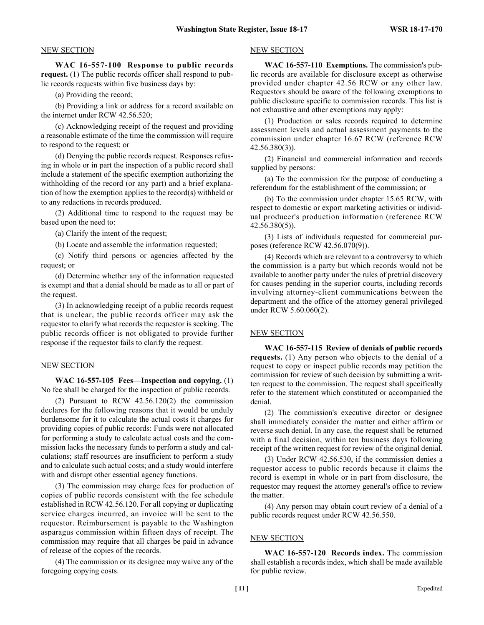#### NEW SECTION

**WAC 16-557-100 Response to public records request.** (1) The public records officer shall respond to public records requests within five business days by:

(a) Providing the record;

(b) Providing a link or address for a record available on the internet under RCW 42.56.520;

(c) Acknowledging receipt of the request and providing a reasonable estimate of the time the commission will require to respond to the request; or

(d) Denying the public records request. Responses refusing in whole or in part the inspection of a public record shall include a statement of the specific exemption authorizing the withholding of the record (or any part) and a brief explanation of how the exemption applies to the record(s) withheld or to any redactions in records produced.

(2) Additional time to respond to the request may be based upon the need to:

(a) Clarify the intent of the request;

(b) Locate and assemble the information requested;

(c) Notify third persons or agencies affected by the request; or

(d) Determine whether any of the information requested is exempt and that a denial should be made as to all or part of the request.

(3) In acknowledging receipt of a public records request that is unclear, the public records officer may ask the requestor to clarify what records the requestor is seeking. The public records officer is not obligated to provide further response if the requestor fails to clarify the request.

#### NEW SECTION

**WAC 16-557-105 Fees—Inspection and copying.** (1) No fee shall be charged for the inspection of public records.

(2) Pursuant to RCW 42.56.120(2) the commission declares for the following reasons that it would be unduly burdensome for it to calculate the actual costs it charges for providing copies of public records: Funds were not allocated for performing a study to calculate actual costs and the commission lacks the necessary funds to perform a study and calculations; staff resources are insufficient to perform a study and to calculate such actual costs; and a study would interfere with and disrupt other essential agency functions.

(3) The commission may charge fees for production of copies of public records consistent with the fee schedule established in RCW 42.56.120. For all copying or duplicating service charges incurred, an invoice will be sent to the requestor. Reimbursement is payable to the Washington asparagus commission within fifteen days of receipt. The commission may require that all charges be paid in advance of release of the copies of the records.

(4) The commission or its designee may waive any of the foregoing copying costs.

### NEW SECTION

**WAC 16-557-110 Exemptions.** The commission's public records are available for disclosure except as otherwise provided under chapter 42.56 RCW or any other law. Requestors should be aware of the following exemptions to public disclosure specific to commission records. This list is not exhaustive and other exemptions may apply:

(1) Production or sales records required to determine assessment levels and actual assessment payments to the commission under chapter 16.67 RCW (reference RCW 42.56.380(3)).

(2) Financial and commercial information and records supplied by persons:

(a) To the commission for the purpose of conducting a referendum for the establishment of the commission; or

(b) To the commission under chapter 15.65 RCW, with respect to domestic or export marketing activities or individual producer's production information (reference RCW 42.56.380(5)).

(3) Lists of individuals requested for commercial purposes (reference RCW 42.56.070(9)).

(4) Records which are relevant to a controversy to which the commission is a party but which records would not be available to another party under the rules of pretrial discovery for causes pending in the superior courts, including records involving attorney-client communications between the department and the office of the attorney general privileged under RCW 5.60.060(2).

#### NEW SECTION

**WAC 16-557-115 Review of denials of public records requests.** (1) Any person who objects to the denial of a request to copy or inspect public records may petition the commission for review of such decision by submitting a written request to the commission. The request shall specifically refer to the statement which constituted or accompanied the denial.

(2) The commission's executive director or designee shall immediately consider the matter and either affirm or reverse such denial. In any case, the request shall be returned with a final decision, within ten business days following receipt of the written request for review of the original denial.

(3) Under RCW 42.56.530, if the commission denies a requestor access to public records because it claims the record is exempt in whole or in part from disclosure, the requestor may request the attorney general's office to review the matter.

(4) Any person may obtain court review of a denial of a public records request under RCW 42.56.550.

# NEW SECTION

**WAC 16-557-120 Records index.** The commission shall establish a records index, which shall be made available for public review.